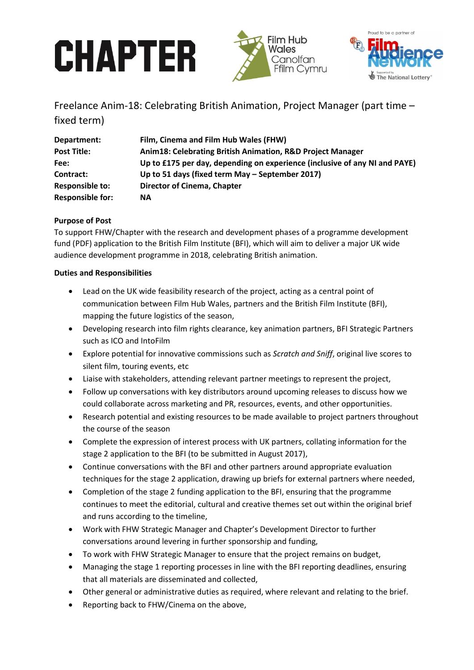# **CHAPTER**





Freelance Anim-18: Celebrating British Animation, Project Manager (part time – fixed term)

| Department:             | Film, Cinema and Film Hub Wales (FHW)                                      |
|-------------------------|----------------------------------------------------------------------------|
| <b>Post Title:</b>      | Anim18: Celebrating British Animation, R&D Project Manager                 |
| Fee:                    | Up to £175 per day, depending on experience (inclusive of any NI and PAYE) |
| Contract:               | Up to 51 days (fixed term May – September 2017)                            |
| <b>Responsible to:</b>  | <b>Director of Cinema, Chapter</b>                                         |
| <b>Responsible for:</b> | <b>NA</b>                                                                  |

# **Purpose of Post**

To support FHW/Chapter with the research and development phases of a programme development fund (PDF) application to the British Film Institute (BFI), which will aim to deliver a major UK wide audience development programme in 2018, celebrating British animation.

# **Duties and Responsibilities**

- Lead on the UK wide feasibility research of the project, acting as a central point of communication between Film Hub Wales, partners and the British Film Institute (BFI), mapping the future logistics of the season,
- Developing research into film rights clearance, key animation partners, BFI Strategic Partners such as ICO and IntoFilm
- Explore potential for innovative commissions such as *Scratch and Sniff*, original live scores to silent film, touring events, etc
- Liaise with stakeholders, attending relevant partner meetings to represent the project,
- Follow up conversations with key distributors around upcoming releases to discuss how we could collaborate across marketing and PR, resources, events, and other opportunities.
- Research potential and existing resources to be made available to project partners throughout the course of the season
- Complete the expression of interest process with UK partners, collating information for the stage 2 application to the BFI (to be submitted in August 2017),
- Continue conversations with the BFI and other partners around appropriate evaluation techniques for the stage 2 application, drawing up briefs for external partners where needed,
- Completion of the stage 2 funding application to the BFI, ensuring that the programme continues to meet the editorial, cultural and creative themes set out within the original brief and runs according to the timeline,
- Work with FHW Strategic Manager and Chapter's Development Director to further conversations around levering in further sponsorship and funding,
- To work with FHW Strategic Manager to ensure that the project remains on budget,
- Managing the stage 1 reporting processes in line with the BFI reporting deadlines, ensuring that all materials are disseminated and collected,
- Other general or administrative duties as required, where relevant and relating to the brief.
- Reporting back to FHW/Cinema on the above,